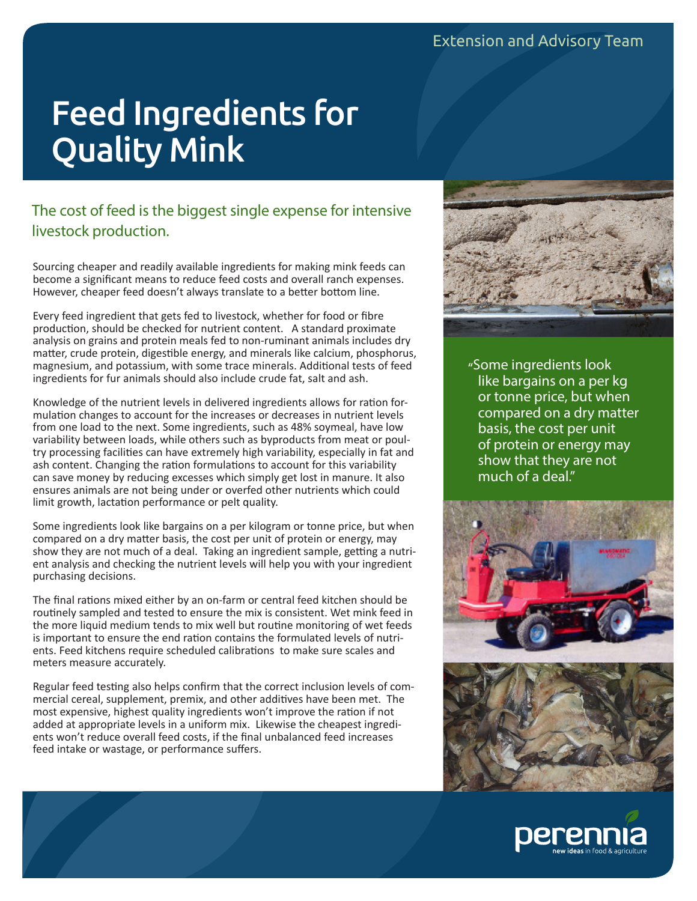# Feed Ingredients for Quality Mink

# The cost of feed is the biggest single expense for intensive livestock production.

Sourcing cheaper and readily available ingredients for making mink feeds can become a significant means to reduce feed costs and overall ranch expenses. However, cheaper feed doesn't always translate to a better bottom line.

Every feed ingredient that gets fed to livestock, whether for food or fibre production, should be checked for nutrient content. A standard proximate analysis on grains and protein meals fed to non-ruminant animals includes dry matter, crude protein, digestible energy, and minerals like calcium, phosphorus, magnesium, and potassium, with some trace minerals. Additional tests of feed ingredients for fur animals should also include crude fat, salt and ash.

Knowledge of the nutrient levels in delivered ingredients allows for ration formulation changes to account for the increases or decreases in nutrient levels from one load to the next. Some ingredients, such as 48% soymeal, have low variability between loads, while others such as byproducts from meat or poultry processing facilities can have extremely high variability, especially in fat and ash content. Changing the ration formulations to account for this variability can save money by reducing excesses which simply get lost in manure. It also ensures animals are not being under or overfed other nutrients which could limit growth, lactation performance or pelt quality.

Some ingredients look like bargains on a per kilogram or tonne price, but when compared on a dry matter basis, the cost per unit of protein or energy, may show they are not much of a deal. Taking an ingredient sample, getting a nutrient analysis and checking the nutrient levels will help you with your ingredient purchasing decisions.

The final rations mixed either by an on-farm or central feed kitchen should be routinely sampled and tested to ensure the mix is consistent. Wet mink feed in the more liquid medium tends to mix well but routine monitoring of wet feeds is important to ensure the end ration contains the formulated levels of nutrients. Feed kitchens require scheduled calibrations to make sure scales and meters measure accurately.

Regular feed testing also helps confirm that the correct inclusion levels of commercial cereal, supplement, premix, and other additives have been met. The most expensive, highest quality ingredients won't improve the ration if not added at appropriate levels in a uniform mix. Likewise the cheapest ingredients won't reduce overall feed costs, if the final unbalanced feed increases feed intake or wastage, or performance suffers.



"Some ingredients look like bargains on a per kg or tonne price, but when compared on a dry matter basis, the cost per unit of protein or energy may show that they are not much of a deal."